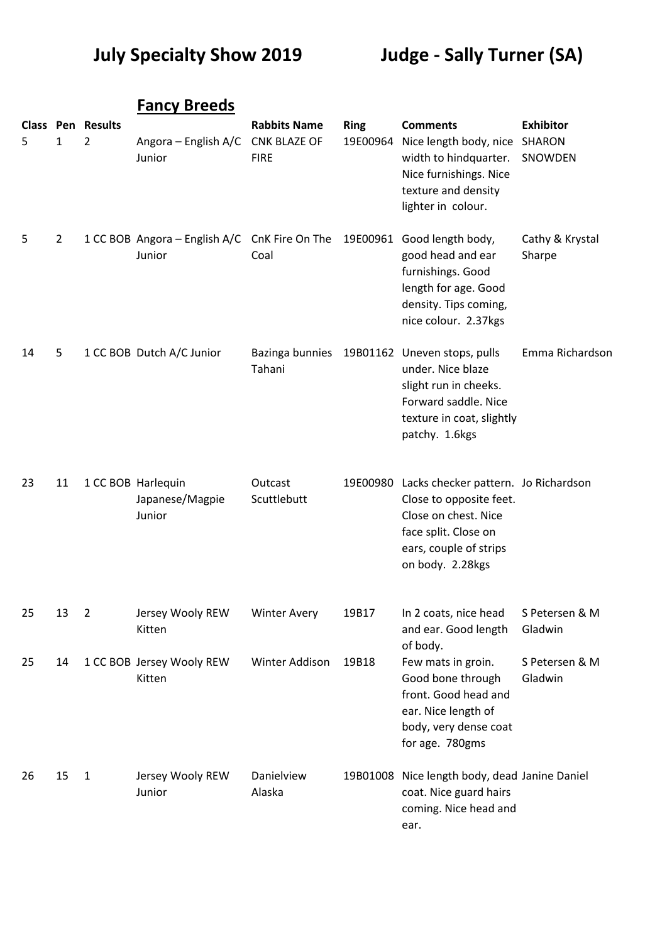## **July Specialty Show 2019 Judge - Sally Turner (SA)**

|    |                |                                            | <b>Fancy Breeds</b>                                              |                                                           |                         |                                                                                                                                                                        |                             |
|----|----------------|--------------------------------------------|------------------------------------------------------------------|-----------------------------------------------------------|-------------------------|------------------------------------------------------------------------------------------------------------------------------------------------------------------------|-----------------------------|
| 5  | $\mathbf{1}$   | <b>Class Pen Results</b><br>$\overline{2}$ | Angora – English A/C<br>Junior                                   | <b>Rabbits Name</b><br><b>CNK BLAZE OF</b><br><b>FIRE</b> | <b>Ring</b><br>19E00964 | <b>Comments</b><br>Nice length body, nice SHARON<br>width to hindquarter.<br>Nice furnishings. Nice<br>texture and density<br>lighter in colour.                       | <b>Exhibitor</b><br>SNOWDEN |
| 5  | $\overline{2}$ |                                            | 1 CC BOB Angora - English A/C CnK Fire On The 19E00961<br>Junior | Coal                                                      |                         | Good length body,<br>good head and ear<br>furnishings. Good<br>length for age. Good<br>density. Tips coming,<br>nice colour. 2.37kgs                                   | Cathy & Krystal<br>Sharpe   |
| 14 | 5              |                                            | 1 CC BOB Dutch A/C Junior                                        | Tahani                                                    |                         | Bazinga bunnies 19B01162 Uneven stops, pulls<br>under. Nice blaze<br>slight run in cheeks.<br>Forward saddle. Nice<br>texture in coat, slightly<br>patchy. 1.6kgs      | Emma Richardson             |
| 23 | 11             |                                            | 1 CC BOB Harlequin<br>Japanese/Magpie<br>Junior                  | Outcast<br>Scuttlebutt                                    |                         | 19E00980 Lacks checker pattern. Jo Richardson<br>Close to opposite feet.<br>Close on chest. Nice<br>face split. Close on<br>ears, couple of strips<br>on body. 2.28kgs |                             |
| 25 | 13             | $\overline{2}$                             | Jersey Wooly REW<br>Kitten                                       | <b>Winter Avery</b>                                       | 19B17                   | In 2 coats, nice head<br>and ear. Good length<br>of body.                                                                                                              | S Petersen & M<br>Gladwin   |
| 25 | 14             |                                            | 1 CC BOB Jersey Wooly REW<br>Kitten                              | Winter Addison                                            | 19B18                   | Few mats in groin.<br>Good bone through<br>front. Good head and<br>ear. Nice length of<br>body, very dense coat<br>for age. 780gms                                     | S Petersen & M<br>Gladwin   |
| 26 | 15             | $\mathbf{1}$                               | Jersey Wooly REW<br>Junior                                       | Danielview<br>Alaska                                      | 19B01008                | Nice length body, dead Janine Daniel<br>coat. Nice guard hairs<br>coming. Nice head and<br>ear.                                                                        |                             |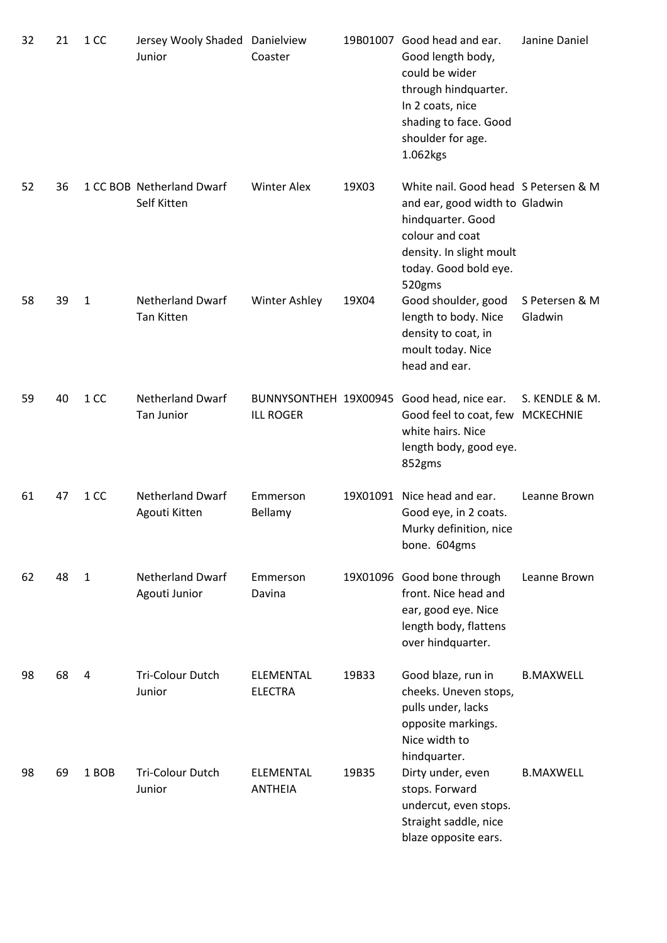| 32 | 21 | 1 CC         | Jersey Wooly Shaded Danielview<br>Junior     | Coaster                            |       | 19B01007 Good head and ear.<br>Good length body,<br>could be wider<br>through hindquarter.<br>In 2 coats, nice<br>shading to face. Good<br>shoulder for age.<br>1.062kgs      | Janine Daniel             |
|----|----|--------------|----------------------------------------------|------------------------------------|-------|-------------------------------------------------------------------------------------------------------------------------------------------------------------------------------|---------------------------|
| 52 | 36 |              | 1 CC BOB Netherland Dwarf<br>Self Kitten     | <b>Winter Alex</b>                 | 19X03 | White nail. Good head S Petersen & M<br>and ear, good width to Gladwin<br>hindquarter. Good<br>colour and coat<br>density. In slight moult<br>today. Good bold eye.<br>520gms |                           |
| 58 | 39 | $\mathbf{1}$ | <b>Netherland Dwarf</b><br><b>Tan Kitten</b> | Winter Ashley                      | 19X04 | Good shoulder, good<br>length to body. Nice<br>density to coat, in<br>moult today. Nice<br>head and ear.                                                                      | S Petersen & M<br>Gladwin |
| 59 | 40 | 1 CC         | <b>Netherland Dwarf</b><br>Tan Junior        | <b>ILL ROGER</b>                   |       | BUNNYSONTHEH 19X00945 Good head, nice ear.<br>Good feel to coat, few MCKECHNIE<br>white hairs. Nice<br>length body, good eye.<br>852gms                                       | S. KENDLE & M.            |
| 61 | 47 | 1 CC         | <b>Netherland Dwarf</b><br>Agouti Kitten     | Emmerson<br>Bellamy                |       | 19X01091 Nice head and ear.<br>Good eye, in 2 coats.<br>Murky definition, nice<br>bone. 604gms                                                                                | Leanne Brown              |
| 62 | 48 | $\mathbf{1}$ | <b>Netherland Dwarf</b><br>Agouti Junior     | Emmerson<br>Davina                 |       | 19X01096 Good bone through<br>front. Nice head and<br>ear, good eye. Nice<br>length body, flattens<br>over hindquarter.                                                       | Leanne Brown              |
| 98 | 68 | 4            | <b>Tri-Colour Dutch</b><br>Junior            | <b>ELEMENTAL</b><br><b>ELECTRA</b> | 19B33 | Good blaze, run in<br>cheeks. Uneven stops,<br>pulls under, lacks<br>opposite markings.<br>Nice width to<br>hindquarter.                                                      | <b>B.MAXWELL</b>          |
| 98 | 69 | 1 BOB        | <b>Tri-Colour Dutch</b><br>Junior            | <b>ELEMENTAL</b><br><b>ANTHEIA</b> | 19B35 | Dirty under, even<br>stops. Forward<br>undercut, even stops.<br>Straight saddle, nice<br>blaze opposite ears.                                                                 | <b>B.MAXWELL</b>          |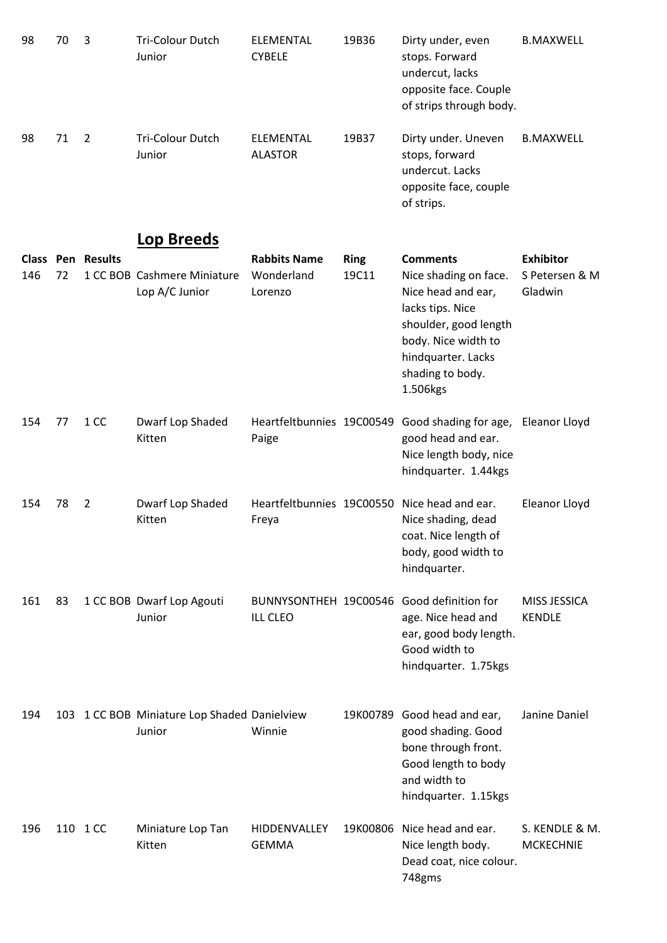| 98               | 70 | 3              | Tri-Colour Dutch<br>Junior                             | ELEMENTAL<br><b>CYBELE</b>                   | 19B36                | Dirty under, even<br>stops. Forward<br>undercut, lacks<br>opposite face. Couple<br>of strips through body.                                                                               | <b>B.MAXWELL</b>                              |
|------------------|----|----------------|--------------------------------------------------------|----------------------------------------------|----------------------|------------------------------------------------------------------------------------------------------------------------------------------------------------------------------------------|-----------------------------------------------|
| 98               | 71 | $\overline{2}$ | Tri-Colour Dutch<br>Junior                             | ELEMENTAL<br><b>ALASTOR</b>                  | 19B37                | Dirty under. Uneven<br>stops, forward<br>undercut. Lacks<br>opposite face, couple<br>of strips.                                                                                          | <b>B.MAXWELL</b>                              |
|                  |    |                | <b>Lop Breeds</b>                                      |                                              |                      |                                                                                                                                                                                          |                                               |
| Class Pen<br>146 | 72 | <b>Results</b> | 1 CC BOB Cashmere Miniature<br>Lop A/C Junior          | <b>Rabbits Name</b><br>Wonderland<br>Lorenzo | <b>Ring</b><br>19C11 | <b>Comments</b><br>Nice shading on face.<br>Nice head and ear,<br>lacks tips. Nice<br>shoulder, good length<br>body. Nice width to<br>hindquarter. Lacks<br>shading to body.<br>1.506kgs | <b>Exhibitor</b><br>S Petersen & M<br>Gladwin |
| 154              | 77 | 1 CC           | Dwarf Lop Shaded<br>Kitten                             | Heartfeltbunnies 19C00549<br>Paige           |                      | Good shading for age, Eleanor Lloyd<br>good head and ear.<br>Nice length body, nice<br>hindquarter. 1.44kgs                                                                              |                                               |
| 154              | 78 | $\overline{2}$ | Dwarf Lop Shaded<br>Kitten                             | Freya                                        |                      | Heartfeltbunnies 19C00550 Nice head and ear.<br>Nice shading, dead<br>coat. Nice length of<br>body, good width to<br>hindquarter.                                                        | Eleanor Lloyd                                 |
| 161              | 83 |                | 1 CC BOB Dwarf Lop Agouti<br>Junior                    | BUNNYSONTHEH 19C00546<br><b>ILL CLEO</b>     |                      | Good definition for<br>age. Nice head and<br>ear, good body length.<br>Good width to<br>hindquarter. 1.75kgs                                                                             | MISS JESSICA<br><b>KENDLE</b>                 |
| 194              |    |                | 103 1 CC BOB Miniature Lop Shaded Danielview<br>Junior | Winnie                                       | 19K00789             | Good head and ear,<br>good shading. Good<br>bone through front.<br>Good length to body<br>and width to<br>hindquarter. 1.15kgs                                                           | Janine Daniel                                 |
| 196              |    | 110 1 CC       | Miniature Lop Tan<br>Kitten                            | HIDDENVALLEY<br><b>GEMMA</b>                 | 19K00806             | Nice head and ear.<br>Nice length body.<br>Dead coat, nice colour.<br>748gms                                                                                                             | S. KENDLE & M.<br><b>MCKECHNIE</b>            |